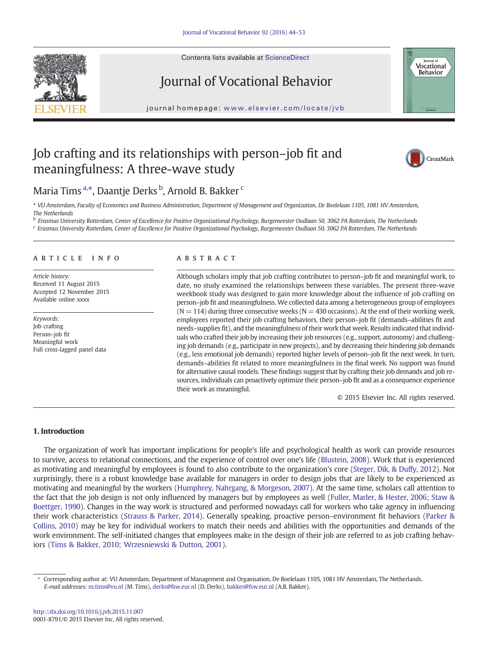

# Journal of Vocational Behavior

Contents lists available at ScienceDirect

journal homepage: <www.elsevier.com/locate/jvb>b/s/ $\frac{1}{2}$ 

## Job crafting and its relationships with person–job fit and meaningfulness: A three-wave study



### Maria Tims <sup>a,</sup>\*, Daantje Derks <sup>b</sup>, Arnold B. Bakker <sup>c</sup>

<sup>a</sup> VU Amsterdam, Faculty of Economics and Business Administration, Department of Management and Organization, De Boelelaan 1105, 1081 HV Amsterdam, The Netherlands

<sup>b</sup> Erasmus University Rotterdam, Center of Excellence for Positive Organizational Psychology, Burgemeester Oudlaan 50, 3062 PA Rotterdam, The Netherlands

<sup>c</sup> Erasmus University Rotterdam, Center of Excellence for Positive Organizational Psychology, Burgemeester Oudlaan 50, 3062 PA Rotterdam, The Netherlands

### article info abstract

Article history: Received 11 August 2015 Accepted 12 November 2015 Available online xxxx

Keywords: Job crafting Person–job fit Meaningful work Full cross-lagged panel data

Although scholars imply that job crafting contributes to person–job fit and meaningful work, to date, no study examined the relationships between these variables. The present three-wave weekbook study was designed to gain more knowledge about the influence of job crafting on person–job fit and meaningfulness. We collected data among a heterogeneous group of employees  $(N = 114)$  during three consecutive weeks  $(N = 430$  occasions). At the end of their working week, employees reported their job crafting behaviors, their person–job fit (demands–abilities fit and needs–supplies fit), and the meaningfulness of their work that week. Results indicated that individuals who crafted their job by increasing their job resources (e.g., support, autonomy) and challenging job demands (e.g., participate in new projects), and by decreasing their hindering job demands (e.g., less emotional job demands) reported higher levels of person–job fit the next week. In turn, demands–abilities fit related to more meaningfulness in the final week. No support was found for alternative causal models. These findings suggest that by crafting their job demands and job resources, individuals can proactively optimize their person–job fit and as a consequence experience their work as meaningful.

© 2015 Elsevier Inc. All rights reserved.

#### 1. Introduction

The organization of work has important implications for people's life and psychological health as work can provide resources to survive, access to relational connections, and the experience of control over one's life [\(Blustein, 2008](#page-8-0)). Work that is experienced as motivating and meaningful by employees is found to also contribute to the organization's core ([Steger, Dik, & Duffy, 2012\)](#page-8-0). Not surprisingly, there is a robust knowledge base available for managers in order to design jobs that are likely to be experienced as motivating and meaningful by the workers [\(Humphrey, Nahrgang, & Morgeson, 2007](#page-8-0)). At the same time, scholars call attention to the fact that the job design is not only influenced by managers but by employees as well ([Fuller, Marler, & Hester, 2006; Staw &](#page-8-0) [Boettger, 1990\)](#page-8-0). Changes in the way work is structured and performed nowadays call for workers who take agency in influencing their work characteristics [\(Strauss & Parker, 2014\)](#page-8-0). Generally speaking, proactive person–environment fit behaviors [\(Parker &](#page-8-0) [Collins, 2010](#page-8-0)) may be key for individual workers to match their needs and abilities with the opportunities and demands of the work environment. The self-initiated changes that employees make in the design of their job are referred to as job crafting behaviors [\(Tims & Bakker, 2010; Wrzesniewski & Dutton, 2001\)](#page-8-0).

<sup>⁎</sup> Corresponding author at: VU Amsterdam, Department of Management and Organisation, De Boelelaan 1105, 1081 HV Amsterdam, The Netherlands. E-mail addresses: [m.tims@vu.nl](mailto:m.tims@vu.nl) (M. Tims), [derks@fsw.eur.nl](mailto:derks@fsw.eur.nl) (D. Derks), [bakker@fsw.eur.nl](mailto:bakker@fsw.eur.nl) (A.B. Bakker).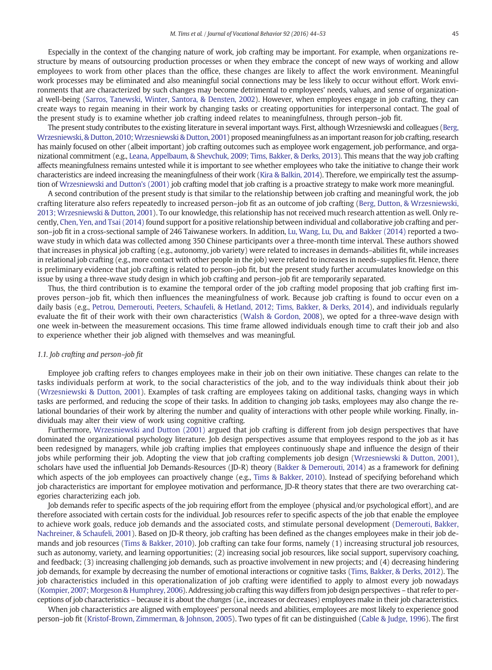Especially in the context of the changing nature of work, job crafting may be important. For example, when organizations restructure by means of outsourcing production processes or when they embrace the concept of new ways of working and allow employees to work from other places than the office, these changes are likely to affect the work environment. Meaningful work processes may be eliminated and also meaningful social connections may be less likely to occur without effort. Work environments that are characterized by such changes may become detrimental to employees' needs, values, and sense of organizational well-being [\(Sarros, Tanewski, Winter, Santora, & Densten, 2002](#page-8-0)). However, when employees engage in job crafting, they can create ways to regain meaning in their work by changing tasks or creating opportunities for interpersonal contact. The goal of the present study is to examine whether job crafting indeed relates to meaningfulness, through person–job fit.

The present study contributes to the existing literature in several important ways. First, although Wrzesniewski and colleagues [\(Berg,](#page-8-0) Wrzesniewski, & Dutton, 2010; Wrzesniewski & Dutton, 2001) proposed meaningfulness as an important reason for job crafting, research has mainly focused on other (albeit important) job crafting outcomes such as employee work engagement, job performance, and organizational commitment (e.g., [Leana, Appelbaum, & Shevchuk, 2009; Tims, Bakker, & Derks, 2013\)](#page-8-0). This means that the way job crafting affects meaningfulness remains untested while it is important to see whether employees who take the initiative to change their work characteristics are indeed increasing the meaningfulness of their work ([Kira & Balkin, 2014](#page-8-0)). Therefore, we empirically test the assumption of [Wrzesniewski and Dutton's \(2001\)](#page-9-0) job crafting model that job crafting is a proactive strategy to make work more meaningful.

A second contribution of the present study is that similar to the relationship between job crafting and meaningful work, the job crafting literature also refers repeatedly to increased person–job fit as an outcome of job crafting [\(Berg, Dutton, & Wrzesniewski,](#page-8-0) [2013; Wrzesniewski & Dutton, 2001](#page-8-0)). To our knowledge, this relationship has not received much research attention as well. Only recently, [Chen, Yen, and Tsai \(2014\)](#page-8-0) found support for a positive relationship between individual and collaborative job crafting and person–job fit in a cross-sectional sample of 246 Taiwanese workers. In addition, [Lu, Wang, Lu, Du, and Bakker \(2014\)](#page-8-0) reported a twowave study in which data was collected among 350 Chinese participants over a three-month time interval. These authors showed that increases in physical job crafting (e.g., autonomy, job variety) were related to increases in demands–abilities fit, while increases in relational job crafting (e.g., more contact with other people in the job) were related to increases in needs–supplies fit. Hence, there is preliminary evidence that job crafting is related to person–job fit, but the present study further accumulates knowledge on this issue by using a three-wave study design in which job crafting and person–job fit are temporarily separated.

Thus, the third contribution is to examine the temporal order of the job crafting model proposing that job crafting first improves person–job fit, which then influences the meaningfulness of work. Because job crafting is found to occur even on a daily basis (e.g., [Petrou, Demerouti, Peeters, Schaufeli, & Hetland, 2012; Tims, Bakker, & Derks, 2014\)](#page-8-0), and individuals regularly evaluate the fit of their work with their own characteristics [\(Walsh & Gordon, 2008](#page-9-0)), we opted for a three-wave design with one week in-between the measurement occasions. This time frame allowed individuals enough time to craft their job and also to experience whether their job aligned with themselves and was meaningful.

#### 1.1. Job crafting and person–job fit

Employee job crafting refers to changes employees make in their job on their own initiative. These changes can relate to the tasks individuals perform at work, to the social characteristics of the job, and to the way individuals think about their job ([Wrzesniewski & Dutton, 2001\)](#page-9-0). Examples of task crafting are employees taking on additional tasks, changing ways in which tasks are performed, and reducing the scope of their tasks. In addition to changing job tasks, employees may also change the relational boundaries of their work by altering the number and quality of interactions with other people while working. Finally, individuals may alter their view of work using cognitive crafting.

Furthermore, [Wrzesniewski and Dutton \(2001\)](#page-9-0) argued that job crafting is different from job design perspectives that have dominated the organizational psychology literature. Job design perspectives assume that employees respond to the job as it has been redesigned by managers, while job crafting implies that employees continuously shape and influence the design of their jobs while performing their job. Adopting the view that job crafting complements job design [\(Wrzesniewski & Dutton, 2001](#page-9-0)), scholars have used the influential Job Demands-Resources (JD-R) theory ([Bakker & Demerouti, 2014](#page-8-0)) as a framework for defining which aspects of the job employees can proactively change (e.g., [Tims & Bakker, 2010](#page-8-0)). Instead of specifying beforehand which job characteristics are important for employee motivation and performance, JD-R theory states that there are two overarching categories characterizing each job.

Job demands refer to specific aspects of the job requiring effort from the employee (physical and/or psychological effort), and are therefore associated with certain costs for the individual. Job resources refer to specific aspects of the job that enable the employee to achieve work goals, reduce job demands and the associated costs, and stimulate personal development [\(Demerouti, Bakker,](#page-8-0) [Nachreiner, & Schaufeli, 2001\)](#page-8-0). Based on JD-R theory, job crafting has been defined as the changes employees make in their job demands and job resources [\(Tims & Bakker, 2010\)](#page-8-0). Job crafting can take four forms, namely (1) increasing structural job resources, such as autonomy, variety, and learning opportunities; (2) increasing social job resources, like social support, supervisory coaching, and feedback; (3) increasing challenging job demands, such as proactive involvement in new projects; and (4) decreasing hindering job demands, for example by decreasing the number of emotional interactions or cognitive tasks ([Tims, Bakker, & Derks, 2012](#page-9-0)). The job characteristics included in this operationalization of job crafting were identified to apply to almost every job nowadays ([Kompier, 2007; Morgeson & Humphrey, 2006](#page-8-0)). Addressing job crafting this way differs from job design perspectives – that refer to perceptions of job characteristics – because it is about the changes (i.e., increases or decreases) employees make in their job characteristics.

When job characteristics are aligned with employees' personal needs and abilities, employees are most likely to experience good person–job fit ([Kristof-Brown, Zimmerman, & Johnson, 2005\)](#page-8-0). Two types of fit can be distinguished [\(Cable & Judge, 1996\)](#page-8-0). The first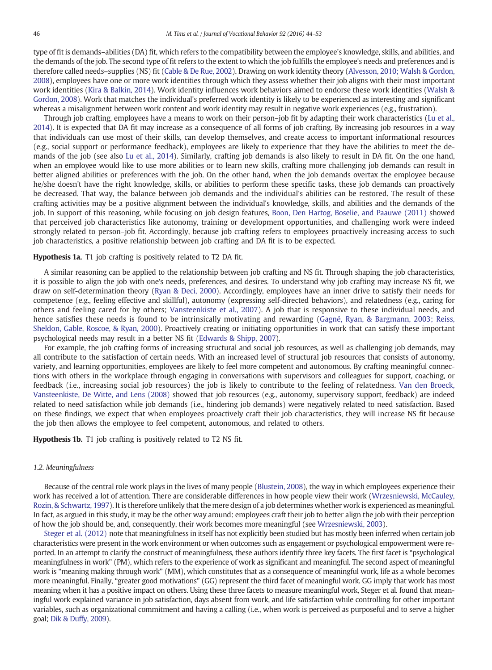<span id="page-2-0"></span>type of fit is demands–abilities (DA) fit, which refers to the compatibility between the employee's knowledge, skills, and abilities, and the demands of the job. The second type of fit refers to the extent to which the job fulfills the employee's needs and preferences and is therefore called needs–supplies (NS) fit ([Cable & De Rue, 2002\)](#page-8-0). Drawing on work identity theory ([Alvesson, 2010; Walsh & Gordon,](#page-8-0) [2008\)](#page-8-0), employees have one or more work identities through which they assess whether their job aligns with their most important work identities ([Kira & Balkin, 2014\)](#page-8-0). Work identity influences work behaviors aimed to endorse these work identities ([Walsh &](#page-9-0) [Gordon, 2008](#page-9-0)). Work that matches the individual's preferred work identity is likely to be experienced as interesting and significant whereas a misalignment between work content and work identity may result in negative work experiences (e.g., frustration).

Through job crafting, employees have a means to work on their person–job fit by adapting their work characteristics [\(Lu et al.,](#page-8-0) [2014\)](#page-8-0). It is expected that DA fit may increase as a consequence of all forms of job crafting. By increasing job resources in a way that individuals can use most of their skills, can develop themselves, and create access to important informational resources (e.g., social support or performance feedback), employees are likely to experience that they have the abilities to meet the demands of the job (see also [Lu et al., 2014\)](#page-8-0). Similarly, crafting job demands is also likely to result in DA fit. On the one hand, when an employee would like to use more abilities or to learn new skills, crafting more challenging job demands can result in better aligned abilities or preferences with the job. On the other hand, when the job demands overtax the employee because he/she doesn't have the right knowledge, skills, or abilities to perform these specific tasks, these job demands can proactively be decreased. That way, the balance between job demands and the individual's abilities can be restored. The result of these crafting activities may be a positive alignment between the individual's knowledge, skills, and abilities and the demands of the job. In support of this reasoning, while focusing on job design features, [Boon, Den Hartog, Boselie, and Paauwe \(2011\)](#page-8-0) showed that perceived job characteristics like autonomy, training or development opportunities, and challenging work were indeed strongly related to person–job fit. Accordingly, because job crafting refers to employees proactively increasing access to such job characteristics, a positive relationship between job crafting and DA fit is to be expected.

#### Hypothesis 1a. T1 job crafting is positively related to T2 DA fit.

A similar reasoning can be applied to the relationship between job crafting and NS fit. Through shaping the job characteristics, it is possible to align the job with one's needs, preferences, and desires. To understand why job crafting may increase NS fit, we draw on self-determination theory [\(Ryan & Deci, 2000](#page-8-0)). Accordingly, employees have an inner drive to satisfy their needs for competence (e.g., feeling effective and skillful), autonomy (expressing self-directed behaviors), and relatedness (e.g., caring for others and feeling cared for by others; [Vansteenkiste et al., 2007](#page-9-0)). A job that is responsive to these individual needs, and hence satisfies these needs is found to be intrinsically motivating and rewarding ([Gagné, Ryan, & Bargmann, 2003; Reiss,](#page-8-0) [Sheldon, Gable, Roscoe, & Ryan, 2000](#page-8-0)). Proactively creating or initiating opportunities in work that can satisfy these important psychological needs may result in a better NS fit [\(Edwards & Shipp, 2007](#page-8-0)).

For example, the job crafting forms of increasing structural and social job resources, as well as challenging job demands, may all contribute to the satisfaction of certain needs. With an increased level of structural job resources that consists of autonomy, variety, and learning opportunities, employees are likely to feel more competent and autonomous. By crafting meaningful connections with others in the workplace through engaging in conversations with supervisors and colleagues for support, coaching, or feedback (i.e., increasing social job resources) the job is likely to contribute to the feeling of relatedness. [Van den Broeck,](#page-9-0) [Vansteenkiste, De Witte, and Lens \(2008\)](#page-9-0) showed that job resources (e.g., autonomy, supervisory support, feedback) are indeed related to need satisfaction while job demands (i.e., hindering job demands) were negatively related to need satisfaction. Based on these findings, we expect that when employees proactively craft their job characteristics, they will increase NS fit because the job then allows the employee to feel competent, autonomous, and related to others.

Hypothesis 1b. T1 job crafting is positively related to T2 NS fit.

#### 1.2. Meaningfulness

Because of the central role work plays in the lives of many people ([Blustein, 2008](#page-8-0)), the way in which employees experience their work has received a lot of attention. There are considerable differences in how people view their work [\(Wrzesniewski, McCauley,](#page-9-0) [Rozin, & Schwartz, 1997\)](#page-9-0). It is therefore unlikely that the mere design of a job determines whether work is experienced as meaningful. In fact, as argued in this study, it may be the other way around: employees craft their job to better align the job with their perception of how the job should be, and, consequently, their work becomes more meaningful (see [Wrzesniewski, 2003](#page-9-0)).

[Steger et al. \(2012\)](#page-8-0) note that meaningfulness in itself has not explicitly been studied but has mostly been inferred when certain job characteristics were present in the work environment or when outcomes such as engagement or psychological empowerment were reported. In an attempt to clarify the construct of meaningfulness, these authors identify three key facets. The first facet is "psychological meaningfulness in work" (PM), which refers to the experience of work as significant and meaningful. The second aspect of meaningful work is "meaning making through work" (MM), which constitutes that as a consequence of meaningful work, life as a whole becomes more meaningful. Finally, "greater good motivations" (GG) represent the third facet of meaningful work. GG imply that work has most meaning when it has a positive impact on others. Using these three facets to measure meaningful work, Steger et al. found that meaningful work explained variance in job satisfaction, days absent from work, and life satisfaction while controlling for other important variables, such as organizational commitment and having a calling (i.e., when work is perceived as purposeful and to serve a higher goal; [Dik & Duffy, 2009\)](#page-8-0).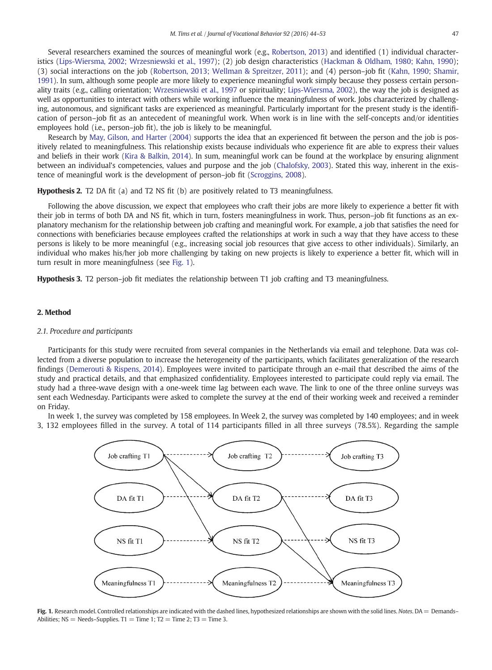<span id="page-3-0"></span>Several researchers examined the sources of meaningful work (e.g., [Robertson, 2013](#page-8-0)) and identified (1) individual characteristics [\(Lips-Wiersma, 2002; Wrzesniewski et al., 1997](#page-8-0)); (2) job design characteristics [\(Hackman & Oldham, 1980; Kahn, 1990](#page-8-0)); (3) social interactions on the job ([Robertson, 2013; Wellman & Spreitzer, 2011\)](#page-8-0); and (4) person–job fit ([Kahn, 1990; Shamir,](#page-8-0) [1991](#page-8-0)). In sum, although some people are more likely to experience meaningful work simply because they possess certain personality traits (e.g., calling orientation; [Wrzesniewski et al., 1997](#page-9-0) or spirituality; [Lips-Wiersma, 2002](#page-8-0)), the way the job is designed as well as opportunities to interact with others while working influence the meaningfulness of work. Jobs characterized by challenging, autonomous, and significant tasks are experienced as meaningful. Particularly important for the present study is the identification of person–job fit as an antecedent of meaningful work. When work is in line with the self-concepts and/or identities employees hold (i.e., person–job fit), the job is likely to be meaningful.

Research by [May, Gilson, and Harter \(2004\)](#page-8-0) supports the idea that an experienced fit between the person and the job is positively related to meaningfulness. This relationship exists because individuals who experience fit are able to express their values and beliefs in their work [\(Kira & Balkin, 2014](#page-8-0)). In sum, meaningful work can be found at the workplace by ensuring alignment between an individual's competencies, values and purpose and the job [\(Chalofsky, 2003](#page-8-0)). Stated this way, inherent in the existence of meaningful work is the development of person–job fit [\(Scroggins, 2008\)](#page-8-0).

#### Hypothesis 2. T2 DA fit (a) and T2 NS fit (b) are positively related to T3 meaningfulness.

Following the above discussion, we expect that employees who craft their jobs are more likely to experience a better fit with their job in terms of both DA and NS fit, which in turn, fosters meaningfulness in work. Thus, person–job fit functions as an explanatory mechanism for the relationship between job crafting and meaningful work. For example, a job that satisfies the need for connections with beneficiaries because employees crafted the relationships at work in such a way that they have access to these persons is likely to be more meaningful (e.g., increasing social job resources that give access to other individuals). Similarly, an individual who makes his/her job more challenging by taking on new projects is likely to experience a better fit, which will in turn result in more meaningfulness (see Fig. 1).

Hypothesis 3. T2 person–job fit mediates the relationship between T1 job crafting and T3 meaningfulness.

#### 2. Method

#### 2.1. Procedure and participants

Participants for this study were recruited from several companies in the Netherlands via email and telephone. Data was collected from a diverse population to increase the heterogeneity of the participants, which facilitates generalization of the research findings ([Demerouti & Rispens, 2014](#page-8-0)). Employees were invited to participate through an e-mail that described the aims of the study and practical details, and that emphasized confidentiality. Employees interested to participate could reply via email. The study had a three-wave design with a one-week time lag between each wave. The link to one of the three online surveys was sent each Wednesday. Participants were asked to complete the survey at the end of their working week and received a reminder on Friday.

In week 1, the survey was completed by 158 employees. In Week 2, the survey was completed by 140 employees; and in week 3, 132 employees filled in the survey. A total of 114 participants filled in all three surveys (78.5%). Regarding the sample



Fig. 1. Research model. Controlled relationships are indicated with the dashed lines, hypothesized relationships are shown with the solid lines. Notes. DA = Demands-Abilities;  $NS = Needs-Supplies$ . T1 = Time 1; T2 = Time 2; T3 = Time 3.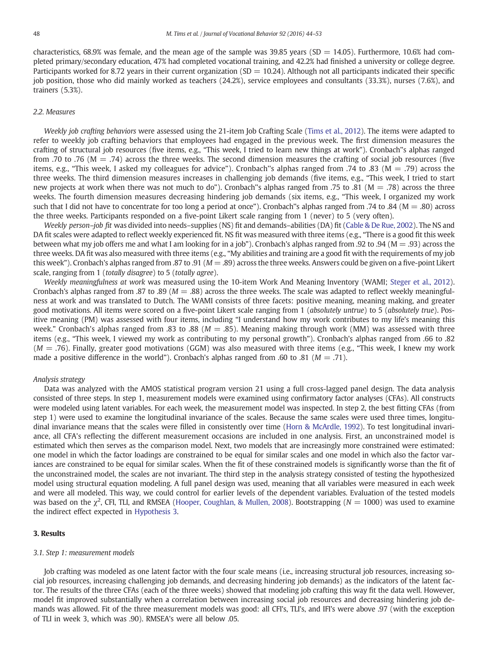characteristics, 68.9% was female, and the mean age of the sample was 39.85 years (SD = 14.05). Furthermore, 10.6% had completed primary/secondary education, 47% had completed vocational training, and 42.2% had finished a university or college degree. Participants worked for 8.72 years in their current organization (SD  $= 10.24$ ). Although not all participants indicated their specific job position, those who did mainly worked as teachers (24.2%), service employees and consultants (33.3%), nurses (7.6%), and trainers (5.3%).

#### 2.2. Measures

Weekly job crafting behaviors were assessed using the 21-item Job Crafting Scale [\(Tims et al., 2012](#page-9-0)). The items were adapted to refer to weekly job crafting behaviors that employees had engaged in the previous week. The first dimension measures the crafting of structural job resources (five items, e.g., "This week, I tried to learn new things at work"). Cronbach''s alphas ranged from .70 to .76 (M = .74) across the three weeks. The second dimension measures the crafting of social job resources (five items, e.g., "This week, I asked my colleagues for advice"). Cronbach''s alphas ranged from .74 to .83 ( $M = .79$ ) across the three weeks. The third dimension measures increases in challenging job demands (five items, e.g., "This week, I tried to start new projects at work when there was not much to do"). Cronbach"s alphas ranged from .75 to .81 ( $M = .78$ ) across the three weeks. The fourth dimension measures decreasing hindering job demands (six items, e.g., "This week, I organized my work such that I did not have to concentrate for too long a period at once"). Cronbach''s alphas ranged from .74 to .84 ( $M = .80$ ) across the three weeks. Participants responded on a five-point Likert scale ranging from 1 (never) to 5 (very often).

Weekly person–job fit was divided into needs–supplies (NS) fit and demands–abilities (DA) fit ([Cable & De Rue, 2002\)](#page-8-0). The NS and DA fit scales were adapted to reflect weekly experienced fit. NS fit was measured with three items (e.g., "There is a good fit this week between what my job offers me and what I am looking for in a job"). Cronbach's alphas ranged from .92 to .94 ( $M = .93$ ) across the three weeks. DA fit was also measured with three items (e.g., "My abilities and training are a good fit with the requirements of my job this week"). Cronbach's alphas ranged from .87 to .91 ( $M = .89$ ) across the three weeks. Answers could be given on a five-point Likert scale, ranging from 1 (totally disagree) to 5 (totally agree).

Weekly meaningfulness at work was measured using the 10-item Work And Meaning Inventory (WAMI; [Steger et al., 2012\)](#page-8-0). Cronbach's alphas ranged from .87 to .89 ( $M = .88$ ) across the three weeks. The scale was adapted to reflect weekly meaningfulness at work and was translated to Dutch. The WAMI consists of three facets: positive meaning, meaning making, and greater good motivations. All items were scored on a five-point Likert scale ranging from 1 (absolutely untrue) to 5 (absolutely true). Positive meaning (PM) was assessed with four items, including "I understand how my work contributes to my life's meaning this week." Cronbach's alphas ranged from .83 to .88 ( $M = .85$ ). Meaning making through work (MM) was assessed with three items (e.g., "This week, I viewed my work as contributing to my personal growth"). Cronbach's alphas ranged from .66 to .82  $(M = .76)$ . Finally, greater good motivations (GGM) was also measured with three items (e.g., "This week, I knew my work made a positive difference in the world"). Cronbach's alphas ranged from .60 to .81 ( $M = .71$ ).

#### Analysis strategy

Data was analyzed with the AMOS statistical program version 21 using a full cross-lagged panel design. The data analysis consisted of three steps. In step 1, measurement models were examined using confirmatory factor analyses (CFAs). All constructs were modeled using latent variables. For each week, the measurement model was inspected. In step 2, the best fitting CFAs (from step 1) were used to examine the longitudinal invariance of the scales. Because the same scales were used three times, longitudinal invariance means that the scales were filled in consistently over time ([Horn & McArdle, 1992](#page-8-0)). To test longitudinal invariance, all CFA's reflecting the different measurement occasions are included in one analysis. First, an unconstrained model is estimated which then serves as the comparison model. Next, two models that are increasingly more constrained were estimated: one model in which the factor loadings are constrained to be equal for similar scales and one model in which also the factor variances are constrained to be equal for similar scales. When the fit of these constrained models is significantly worse than the fit of the unconstrained model, the scales are not invariant. The third step in the analysis strategy consisted of testing the hypothesized model using structural equation modeling. A full panel design was used, meaning that all variables were measured in each week and were all modeled. This way, we could control for earlier levels of the dependent variables. Evaluation of the tested models was based on the  $\chi^2$ , CFI, TLI, and RMSEA [\(Hooper, Coughlan, & Mullen, 2008](#page-8-0)). Bootstrapping ( $N = 1000$ ) was used to examine the indirect effect expected in [Hypothesis 3.](#page-3-0)

#### 3. Results

#### 3.1. Step 1: measurement models

Job crafting was modeled as one latent factor with the four scale means (i.e., increasing structural job resources, increasing social job resources, increasing challenging job demands, and decreasing hindering job demands) as the indicators of the latent factor. The results of the three CFAs (each of the three weeks) showed that modeling job crafting this way fit the data well. However, model fit improved substantially when a correlation between increasing social job resources and decreasing hindering job demands was allowed. Fit of the three measurement models was good: all CFI's, TLI's, and IFI's were above .97 (with the exception of TLI in week 3, which was .90). RMSEA's were all below .05.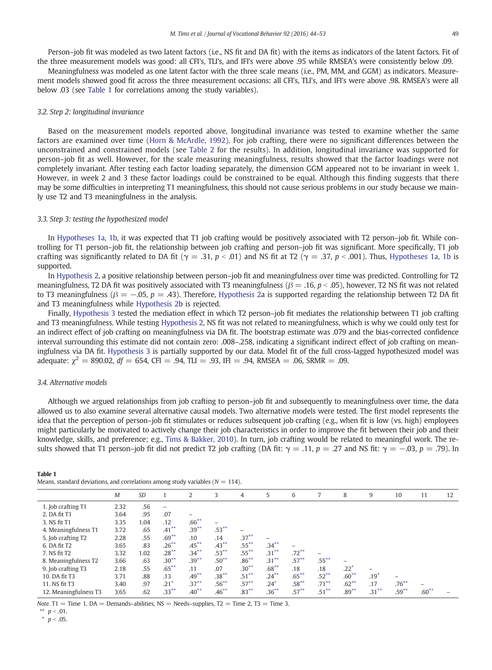Person–job fit was modeled as two latent factors (i.e., NS fit and DA fit) with the items as indicators of the latent factors. Fit of the three measurement models was good: all CFI's, TLI's, and IFI's were above .95 while RMSEA's were consistently below .09.

Meaningfulness was modeled as one latent factor with the three scale means (i.e., PM, MM, and GGM) as indicators. Measurement models showed good fit across the three measurement occasions: all CFI's, TLI's, and IFI's were above .98. RMSEA's were all below .03 (see Table 1 for correlations among the study variables).

#### 3.2. Step 2: longitudinal invariance

Based on the measurement models reported above, longitudinal invariance was tested to examine whether the same factors are examined over time [\(Horn & McArdle, 1992\)](#page-8-0). For job crafting, there were no significant differences between the unconstrained and constrained models (see [Table 2](#page-6-0) for the results). In addition, longitudinal invariance was supported for person–job fit as well. However, for the scale measuring meaningfulness, results showed that the factor loadings were not completely invariant. After testing each factor loading separately, the dimension GGM appeared not to be invariant in week 1. However, in week 2 and 3 these factor loadings could be constrained to be equal. Although this finding suggests that there may be some difficulties in interpreting T1 meaningfulness, this should not cause serious problems in our study because we mainly use T2 and T3 meaningfulness in the analysis.

#### 3.3. Step 3: testing the hypothesized model

In [Hypotheses 1a, 1b](#page-2-0), it was expected that T1 job crafting would be positively associated with T2 person–job fit. While controlling for T1 person–job fit, the relationship between job crafting and person–job fit was significant. More specifically, T1 job crafting was significantly related to DA fit ( $\gamma = .31$ ,  $p < .01$ ) and NS fit at T2 ( $\gamma = .37$ ,  $p < .001$ ). Thus, [Hypotheses 1a, 1b](#page-2-0) is supported.

In [Hypothesis 2,](#page-3-0) a positive relationship between person–job fit and meaningfulness over time was predicted. Controlling for T2 meaningfulness, T2 DA fit was positively associated with T3 meaningfulness ( $\beta = 0.16$ ,  $p < 0.05$ ), however, T2 NS fit was not related to T3 meaningfulness ( $\beta = -.05$ ,  $p = .43$ ). Therefore, [Hypothesis 2a](#page-3-0) is supported regarding the relationship between T2 DA fit and T3 meaningfulness while [Hypothesis 2b](#page-3-0) is rejected.

Finally, [Hypothesis 3](#page-3-0) tested the mediation effect in which T2 person–job fit mediates the relationship between T1 job crafting and T3 meaningfulness. While testing [Hypothesis 2,](#page-3-0) NS fit was not related to meaningfulness, which is why we could only test for an indirect effect of job crafting on meaningfulness via DA fit. The bootstrap estimate was .079 and the bias-corrected confidence interval surrounding this estimate did not contain zero: .008–.258, indicating a significant indirect effect of job crafting on meaningfulness via DA fit. [Hypothesis 3](#page-3-0) is partially supported by our data. Model fit of the full cross-lagged hypothesized model was adequate:  $\chi^2 = 890.02$ ,  $df = 654$ , CFI = .94, TLI = .93, IFI = .94, RMSEA = .06, SRMR = .09.

#### 3.4. Alternative models

Although we argued relationships from job crafting to person–job fit and subsequently to meaningfulness over time, the data allowed us to also examine several alternative causal models. Two alternative models were tested. The first model represents the idea that the perception of person–job fit stimulates or reduces subsequent job crafting (e.g., when fit is low (vs. high) employees might particularly be motivated to actively change their job characteristics in order to improve the fit between their job and their knowledge, skills, and preference; e.g., [Tims & Bakker, 2010](#page-8-0)). In turn, job crafting would be related to meaningful work. The results showed that T1 person–job fit did not predict T2 job crafting (DA fit:  $\gamma = .11$ ,  $p = .27$  and NS fit:  $\gamma = -.03$ ,  $p = .79$ ). In

#### Table 1 Means, standard deviations, and correlations among study variables ( $N = 114$ ).

| M    | <b>SD</b> |                   |                      | 3                                                                   | 4                    | 5        | 6                                |          | 8        | 9      | 10       | 11       | 12 |
|------|-----------|-------------------|----------------------|---------------------------------------------------------------------|----------------------|----------|----------------------------------|----------|----------|--------|----------|----------|----|
| 2.32 | .56       | $\qquad \qquad -$ |                      |                                                                     |                      |          |                                  |          |          |        |          |          |    |
| 3.64 | .95       | .07               |                      |                                                                     |                      |          |                                  |          |          |        |          |          |    |
| 3.35 | 1.04      | .12               |                      |                                                                     |                      |          |                                  |          |          |        |          |          |    |
| 3.72 | .65       |                   |                      |                                                                     |                      |          |                                  |          |          |        |          |          |    |
| 2.28 | .55       | $.69***$          | .10                  | .14                                                                 | $.37***$             |          |                                  |          |          |        |          |          |    |
| 3.65 | .83       | $.26***$          | $.45***$             | $.43***$                                                            | $.55***$             | $.34***$ | -                                |          |          |        |          |          |    |
| 3.32 | 1.02      | $.28***$          |                      |                                                                     | $.55***$             |          | $.72***$                         |          |          |        |          |          |    |
| 3.66 | .63       | $.30^{**}$        |                      | $.50***$                                                            | $.86***$             | $31***$  | $.57***$                         | $.55***$ |          |        |          |          |    |
| 2.18 | .55       |                   | .11                  | .07                                                                 | $.30***$             | $.68***$ | .18                              | .18      | $.22*$   |        |          |          |    |
| 3.71 | .88       | .13               |                      | $.38***$                                                            | $.51***$             |          | $.65***$                         | $.52***$ | $.60***$ | $.19*$ |          |          |    |
| 3.40 | .97       | $21*$             | $.37***$             | $.56***$                                                            | $.57***$             | $.24*$   | $.58***$                         | $.71***$ | $.62***$ | .17    |          |          |    |
| 3.65 | .62       | $.33***$          |                      | $.46***$                                                            | $.83***$             |          | $.57***$                         | $.51***$ | $.89***$ |        | $.59***$ | $.60***$ |    |
|      |           |                   | $.41***$<br>$.65***$ | $.66***$<br>$.39***$<br>$.34***$<br>$.39***$<br>$.49***$<br>$.40**$ | $.53***$<br>$.53***$ |          | $.31***$<br>$.24***$<br>$.36***$ |          |          |        | $.31***$ | $.76***$ |    |

Note. T1 = Time 1, DA = Demands–abilities,  $NS =$  Needs–supplies, T2 = Time 2, T3 = Time 3.

\*\*  $p < .01$ .

 $\frac{1}{p}$  = .05.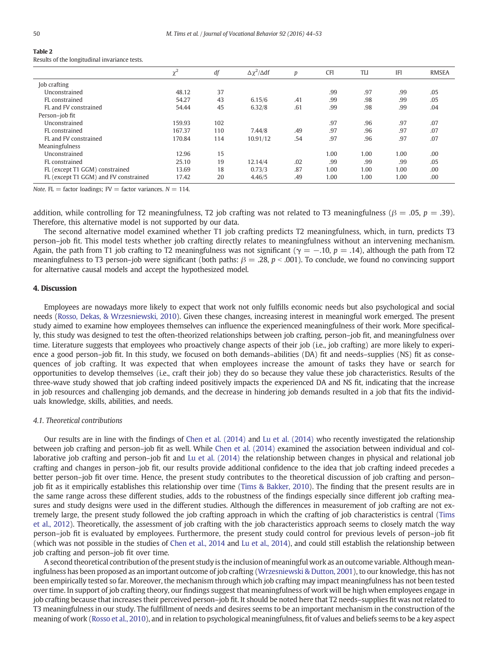<span id="page-6-0"></span>Results of the longitudinal invariance tests.

|                                       | $\gamma^2$ | df  | $\Delta \chi^2/\Delta df$ | p   | <b>CFI</b> | TLI  | IFI  | <b>RMSEA</b> |
|---------------------------------------|------------|-----|---------------------------|-----|------------|------|------|--------------|
| Job crafting                          |            |     |                           |     |            |      |      |              |
| Unconstrained                         | 48.12      | 37  |                           |     | .99        | .97  | .99  | .05          |
| FL constrained                        | 54.27      | 43  | 6.15/6                    | .41 | .99        | .98  | .99  | .05          |
| FL and FV constrained                 | 54.44      | 45  | 6.32/8                    | .61 | .99        | .98  | .99  | .04          |
| Person-job fit                        |            |     |                           |     |            |      |      |              |
| Unconstrained                         | 159.93     | 102 |                           |     | .97        | .96  | .97  | .07          |
| FL constrained                        | 167.37     | 110 | 7.44/8                    | .49 | .97        | .96  | .97  | .07          |
| FL and FV constrained                 | 170.84     | 114 | 10.91/12                  | .54 | .97        | .96  | .97  | .07          |
| Meaningfulness                        |            |     |                           |     |            |      |      |              |
| Unconstrained                         | 12.96      | 15  |                           |     | 1.00       | 1.00 | 1.00 | .00          |
| FL constrained                        | 25.10      | 19  | 12.14/4                   | .02 | .99        | .99  | .99  | .05          |
| FL (except T1 GGM) constrained        | 13.69      | 18  | 0.73/3                    | .87 | 1.00       | 1.00 | 1.00 | .00          |
| FL (except T1 GGM) and FV constrained | 17.42      | 20  | 4.46/5                    | .49 | 1.00       | 1.00 | 1.00 | .00          |

Note. FL = factor loadings; FV = factor variances.  $N = 114$ .

addition, while controlling for T2 meaningfulness, T2 job crafting was not related to T3 meaningfulness ( $\beta = .05$ ,  $p = .39$ ). Therefore, this alternative model is not supported by our data.

The second alternative model examined whether T1 job crafting predicts T2 meaningfulness, which, in turn, predicts T3 person–job fit. This model tests whether job crafting directly relates to meaningfulness without an intervening mechanism. Again, the path from T1 job crafting to T2 meaningfulness was not significant ( $\gamma = -10$ ,  $p = 0.14$ ), although the path from T2 meaningfulness to T3 person–job were significant (both paths:  $\beta = 0.28$ ,  $p < 0.01$ ). To conclude, we found no convincing support for alternative causal models and accept the hypothesized model.

#### 4. Discussion

Employees are nowadays more likely to expect that work not only fulfills economic needs but also psychological and social needs [\(Rosso, Dekas, & Wrzesniewski, 2010](#page-8-0)). Given these changes, increasing interest in meaningful work emerged. The present study aimed to examine how employees themselves can influence the experienced meaningfulness of their work. More specifically, this study was designed to test the often-theorized relationships between job crafting, person–job fit, and meaningfulness over time. Literature suggests that employees who proactively change aspects of their job (i.e., job crafting) are more likely to experience a good person–job fit. In this study, we focused on both demands–abilities (DA) fit and needs–supplies (NS) fit as consequences of job crafting. It was expected that when employees increase the amount of tasks they have or search for opportunities to develop themselves (i.e., craft their job) they do so because they value these job characteristics. Results of the three-wave study showed that job crafting indeed positively impacts the experienced DA and NS fit, indicating that the increase in job resources and challenging job demands, and the decrease in hindering job demands resulted in a job that fits the individuals knowledge, skills, abilities, and needs.

#### 4.1. Theoretical contributions

Our results are in line with the findings of [Chen et al. \(2014\)](#page-8-0) and [Lu et al. \(2014\)](#page-8-0) who recently investigated the relationship between job crafting and person–job fit as well. While [Chen et al. \(2014\)](#page-8-0) examined the association between individual and collaborative job crafting and person–job fit and [Lu et al. \(2014\)](#page-8-0) the relationship between changes in physical and relational job crafting and changes in person–job fit, our results provide additional confidence to the idea that job crafting indeed precedes a better person–job fit over time. Hence, the present study contributes to the theoretical discussion of job crafting and person– job fit as it empirically establishes this relationship over time ([Tims & Bakker, 2010\)](#page-8-0). The finding that the present results are in the same range across these different studies, adds to the robustness of the findings especially since different job crafting measures and study designs were used in the different studies. Although the differences in measurement of job crafting are not extremely large, the present study followed the job crafting approach in which the crafting of job characteristics is central ([Tims](#page-9-0) [et al., 2012](#page-9-0)). Theoretically, the assessment of job crafting with the job characteristics approach seems to closely match the way person–job fit is evaluated by employees. Furthermore, the present study could control for previous levels of person–job fit (which was not possible in the studies of [Chen et al., 2014](#page-8-0) and [Lu et al., 2014\)](#page-8-0), and could still establish the relationship between job crafting and person–job fit over time.

A second theoretical contribution of the present study is the inclusion of meaningful work as an outcome variable. Although meaningfulness has been proposed as an important outcome of job crafting [\(Wrzesniewski & Dutton, 2001](#page-9-0)), to our knowledge, this has not been empirically tested so far. Moreover, the mechanism through which job crafting may impact meaningfulness has not been tested over time. In support of job crafting theory, our findings suggest that meaningfulness of work will be high when employees engage in job crafting because that increases their perceived person–job fit. It should be noted here that T2 needs–supplies fit was not related to T3 meaningfulness in our study. The fulfillment of needs and desires seems to be an important mechanism in the construction of the meaning of work [\(Rosso et al., 2010\)](#page-8-0), and in relation to psychological meaningfulness, fit of values and beliefs seems to be a key aspect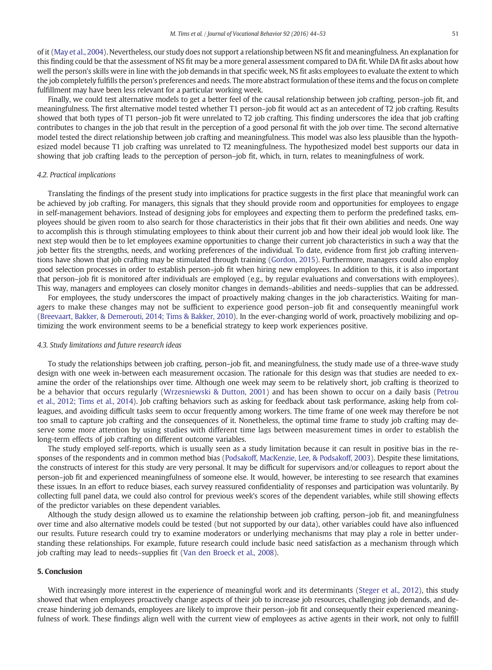of it ([May et al., 2004](#page-8-0)). Nevertheless, our study does not support a relationship between NS fit and meaningfulness. An explanation for this finding could be that the assessment of NS fit may be a more general assessment compared to DA fit. While DA fit asks about how well the person's skills were in line with the job demands in that specific week, NS fit asks employees to evaluate the extent to which the job completely fulfills the person's preferences and needs. The more abstract formulation of these items and the focus on complete fulfillment may have been less relevant for a particular working week.

Finally, we could test alternative models to get a better feel of the causal relationship between job crafting, person–job fit, and meaningfulness. The first alternative model tested whether T1 person–job fit would act as an antecedent of T2 job crafting. Results showed that both types of T1 person–job fit were unrelated to T2 job crafting. This finding underscores the idea that job crafting contributes to changes in the job that result in the perception of a good personal fit with the job over time. The second alternative model tested the direct relationship between job crafting and meaningfulness. This model was also less plausible than the hypothesized model because T1 job crafting was unrelated to T2 meaningfulness. The hypothesized model best supports our data in showing that job crafting leads to the perception of person–job fit, which, in turn, relates to meaningfulness of work.

#### 4.2. Practical implications

Translating the findings of the present study into implications for practice suggests in the first place that meaningful work can be achieved by job crafting. For managers, this signals that they should provide room and opportunities for employees to engage in self-management behaviors. Instead of designing jobs for employees and expecting them to perform the predefined tasks, employees should be given room to also search for those characteristics in their jobs that fit their own abilities and needs. One way to accomplish this is through stimulating employees to think about their current job and how their ideal job would look like. The next step would then be to let employees examine opportunities to change their current job characteristics in such a way that the job better fits the strengths, needs, and working preferences of the individual. To date, evidence from first job crafting interventions have shown that job crafting may be stimulated through training [\(Gordon, 2015\)](#page-8-0). Furthermore, managers could also employ good selection processes in order to establish person–job fit when hiring new employees. In addition to this, it is also important that person–job fit is monitored after individuals are employed (e.g., by regular evaluations and conversations with employees). This way, managers and employees can closely monitor changes in demands–abilities and needs–supplies that can be addressed.

For employees, the study underscores the impact of proactively making changes in the job characteristics. Waiting for managers to make these changes may not be sufficient to experience good person–job fit and consequently meaningful work ([Breevaart, Bakker, & Demerouti, 2014; Tims & Bakker, 2010\)](#page-8-0). In the ever-changing world of work, proactively mobilizing and optimizing the work environment seems to be a beneficial strategy to keep work experiences positive.

#### 4.3. Study limitations and future research ideas

To study the relationships between job crafting, person–job fit, and meaningfulness, the study made use of a three-wave study design with one week in-between each measurement occasion. The rationale for this design was that studies are needed to examine the order of the relationships over time. Although one week may seem to be relatively short, job crafting is theorized to be a behavior that occurs regularly [\(Wrzesniewski & Dutton, 2001](#page-9-0)) and has been shown to occur on a daily basis [\(Petrou](#page-8-0) [et al., 2012; Tims et al., 2014](#page-8-0)). Job crafting behaviors such as asking for feedback about task performance, asking help from colleagues, and avoiding difficult tasks seem to occur frequently among workers. The time frame of one week may therefore be not too small to capture job crafting and the consequences of it. Nonetheless, the optimal time frame to study job crafting may deserve some more attention by using studies with different time lags between measurement times in order to establish the long-term effects of job crafting on different outcome variables.

The study employed self-reports, which is usually seen as a study limitation because it can result in positive bias in the responses of the respondents and in common method bias [\(Podsakoff, MacKenzie, Lee, & Podsakoff, 2003\)](#page-8-0). Despite these limitations, the constructs of interest for this study are very personal. It may be difficult for supervisors and/or colleagues to report about the person–job fit and experienced meaningfulness of someone else. It would, however, be interesting to see research that examines these issues. In an effort to reduce biases, each survey reassured confidentiality of responses and participation was voluntarily. By collecting full panel data, we could also control for previous week's scores of the dependent variables, while still showing effects of the predictor variables on these dependent variables.

Although the study design allowed us to examine the relationship between job crafting, person–job fit, and meaningfulness over time and also alternative models could be tested (but not supported by our data), other variables could have also influenced our results. Future research could try to examine moderators or underlying mechanisms that may play a role in better understanding these relationships. For example, future research could include basic need satisfaction as a mechanism through which job crafting may lead to needs–supplies fit ([Van den Broeck et al., 2008](#page-9-0)).

#### 5. Conclusion

With increasingly more interest in the experience of meaningful work and its determinants [\(Steger et al., 2012](#page-8-0)), this study showed that when employees proactively change aspects of their job to increase job resources, challenging job demands, and decrease hindering job demands, employees are likely to improve their person–job fit and consequently their experienced meaningfulness of work. These findings align well with the current view of employees as active agents in their work, not only to fulfill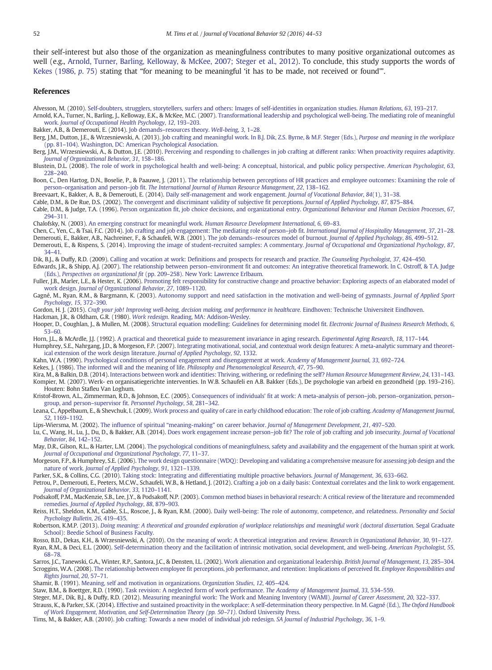<span id="page-8-0"></span>their self-interest but also those of the organization as meaningfulness contributes to many positive organizational outcomes as well (e.g., Arnold, Turner, Barling, Kelloway, & McKee, 2007; Steger et al., 2012). To conclude, this study supports the words of Kekes (1986, p. 75) stating that "for meaning to be meaningful 'it has to be made, not received or found".

#### **References**

Alvesson, M. (2010). [Self-doubters, strugglers, storytellers, surfers and others: Images of self-identities in organization studies.](http://refhub.elsevier.com/S0001-8791(15)30012-9/rf0005) Human Relations, 63, 193–217.

Arnold, K.A., Turner, N., Barling, J., Kelloway, E.K., & McKee, M.C. (2007). [Transformational leadership and psychological well-being. The mediating role of meaningful](http://refhub.elsevier.com/S0001-8791(15)30012-9/rf0010) work. [Journal of Occupational Health Psychology](http://refhub.elsevier.com/S0001-8791(15)30012-9/rf0010), 12, 193–203.

Bakker, A.B., & Demerouti, E. (2014). Job demands–[resources theory.](http://refhub.elsevier.com/S0001-8791(15)30012-9/rf0015) Well-being, 3, 1–28.

Berg, J.M., Dutton, J.E., & Wrzesniewski, A. (2013). [Job crafting and meaningful work. In B.J. Dik, Z.S. Byrne, & M.F. Steger \(Eds.\),](http://refhub.elsevier.com/S0001-8791(15)30012-9/rf0020) Purpose and meaning in the workplace (pp. 81–[104\). Washington, DC: American Psychological Association.](http://refhub.elsevier.com/S0001-8791(15)30012-9/rf0020)

Berg, J.M., Wrzesniewski, A., & Dutton, J.E. (2010). [Perceiving and responding to challenges in job crafting at different ranks: When proactivity requires adaptivity.](http://refhub.elsevier.com/S0001-8791(15)30012-9/rf0025) [Journal of Organizational Behavior](http://refhub.elsevier.com/S0001-8791(15)30012-9/rf0025), 31, 158–186.

Blustein, D.L. (2008). [The role of work in psychological health and well-being: A conceptual, historical, and public policy perspective.](http://refhub.elsevier.com/S0001-8791(15)30012-9/rf0030) American Psychologist, 63, 228–[240.](http://refhub.elsevier.com/S0001-8791(15)30012-9/rf0030)

Boon, C., Den Hartog, D.N., Boselie, P., & Paauwe, J. (2011). [The relationship between perceptions of HR practices and employee outcomes: Examining the role of](http://refhub.elsevier.com/S0001-8791(15)30012-9/rf0035) person–organisation and person–job fit. [The International Journal of Human Resource Management](http://refhub.elsevier.com/S0001-8791(15)30012-9/rf0035), 22, 138–162.

Breevaart, K., Bakker, A. B., & Demerouti, E. (2014). [Daily self-management and work engagement.](http://refhub.elsevier.com/S0001-8791(15)30012-9/rf9685) Journal of Vocational Behavior, 84(1), 31–38.

Cable, D.M., & De Rue, D.S. (2002). [The convergent and discriminant validity of subjective fit perceptions.](http://refhub.elsevier.com/S0001-8791(15)30012-9/rf0050) Journal of Applied Psychology, 87, 875–884.

Cable, D.M., & Judge, T.A. (1996). [Person organization fit, job choice decisions, and organizational entry.](http://refhub.elsevier.com/S0001-8791(15)30012-9/rf0055) Organizational Behaviour and Human Decision Processes, 67, 294–[311.](http://refhub.elsevier.com/S0001-8791(15)30012-9/rf0055)

Chalofsky, N. (2003). [An emerging construct for meaningful work.](http://refhub.elsevier.com/S0001-8791(15)30012-9/rf0060) Human Resource Development International, 6, 69–83.

Chen, C., Yen, C., & Tsai, F.C. (2014). [Job crafting and job engagement: The mediating role of person](http://refhub.elsevier.com/S0001-8791(15)30012-9/rf0065)–job fit. International Journal of Hospitality Management, 37, 21–28. Demerouti, E., Bakker, A.B., Nachreiner, F., & Schaufeli, W.B. (2001). The job demands–resources model of burnout. [Journal of Applied Psychology](http://refhub.elsevier.com/S0001-8791(15)30012-9/rf0070), 86, 499–512. Demerouti, E., & Rispens, S. (2014). [Improving the image of student-recruited samples: A commentary.](http://refhub.elsevier.com/S0001-8791(15)30012-9/rf0075) Journal of Occupational and Organizational Psychology, 87,

34–[41.](http://refhub.elsevier.com/S0001-8791(15)30012-9/rf0075)

Dik, B.J., & Duffy, R.D. (2009). [Calling and vocation at work: Definitions and prospects for research and practice.](http://refhub.elsevier.com/S0001-8791(15)30012-9/rf0080) The Counseling Psychologist, 37, 424–450.

Edwards, J.R., & Shipp, A.J. (2007). The relationship between person–[environment fit and outcomes: An integrative theoretical framework. In C. Ostroff, & T.A. Judge](http://refhub.elsevier.com/S0001-8791(15)30012-9/rf0085) (Eds.), Perspectives on organizational fit (pp. 209–[258\). New York: Lawrence Erlbaum.](http://refhub.elsevier.com/S0001-8791(15)30012-9/rf0085)

Fuller, J.B., Marler, L.E., & Hester, K. (2006). [Promoting felt responsibility for constructive change and proactive behavior: Exploring aspects of an elaborated model of](http://refhub.elsevier.com/S0001-8791(15)30012-9/rf0090) work design. [Journal of Organizational Behavior](http://refhub.elsevier.com/S0001-8791(15)30012-9/rf0090), 27, 1089–1120.

Gagné, M., Ryan, R.M., & Bargmann, K. (2003). [Autonomy support and need satisfaction in the motivation and well-being of gymnasts.](http://refhub.elsevier.com/S0001-8791(15)30012-9/rf0095) Journal of Applied Sport [Psychology](http://refhub.elsevier.com/S0001-8791(15)30012-9/rf0095), 15, 372–390.

Gordon, H. J. (2015). [Craft your job! Improving well-being, decision making, and performance in healthcare.](http://refhub.elsevier.com/S0001-8791(15)30012-9/rf9100) Eindhoven: Technische Universiteit Eindhoven.

Hackman, J.R., & Oldham, G.R. (1980). Work redesign. [Reading, MA: Addison-Wesley.](http://refhub.elsevier.com/S0001-8791(15)30012-9/rf0100)

Hooper, D., Coughlan, J., & Mullen, M. (2008). [Structural equation modelling: Guidelines for determining model fit.](http://refhub.elsevier.com/S0001-8791(15)30012-9/rf0105) Electronic Journal of Business Research Methods, 6, 53–[60.](http://refhub.elsevier.com/S0001-8791(15)30012-9/rf0105)

Horn, J.L., & McArdle, J.J. (1992). [A practical and theoretical guide to measurement invariance in aging research.](http://refhub.elsevier.com/S0001-8791(15)30012-9/rf0110) Experimental Aging Research, 18, 117–144.

Humphrey, S.E., Nahrgang, J.D., & Morgeson, F.P. (2007). [Integrating motivational, social, and contextual work design features: A meta-analytic summary and theoret](http://refhub.elsevier.com/S0001-8791(15)30012-9/rf0115)[ical extension of the work design literature.](http://refhub.elsevier.com/S0001-8791(15)30012-9/rf0115) Journal of Applied Psychology, 92, 1332.

Kahn, W.A. (1990). [Psychological conditions of personal engagement and disengagement at work.](http://refhub.elsevier.com/S0001-8791(15)30012-9/rf0120) Academy of Management Journal, 33, 692–724.

Kekes, J. (1986). [The informed will and the meaning of life.](http://refhub.elsevier.com/S0001-8791(15)30012-9/rf0125) Philosophy and Phenomenological Research, 47, 75–90.

Kira, M., & Balkin, D.B. (2014). [Interactions between work and identities: Thriving, withering, or redefining the self?](http://refhub.elsevier.com/S0001-8791(15)30012-9/rf0130) Human Resource Management Review, 24, 131–143. Kompier, M. (2007). Werk- en organisatiegerichte interventies. In W.B. Schaufeli en A.B. Bakker (Eds.), De psychologie van arbeid en gezondheid (pp. 193–216). Houten: Bohn Stafleu Van Loghum.

Kristof-Brown, A.L., Zimmerman, R.D., & Johnson, E.C. (2005). [Consequences of individuals' fit at work: A meta-analysis of person](http://refhub.elsevier.com/S0001-8791(15)30012-9/rf0135)–job, person–organization, person– group, and person–supervisor fit. [Personnel Psychology](http://refhub.elsevier.com/S0001-8791(15)30012-9/rf0135), 58, 281–342.

Leana, C., Appelbaum, E., & Shevchuk, I. (2009). [Work process and quality of care in early childhood education: The role of job crafting.](http://refhub.elsevier.com/S0001-8791(15)30012-9/rf0140) Academy of Management Journal, 52[, 1169](http://refhub.elsevier.com/S0001-8791(15)30012-9/rf0140)–1192.

Lips-Wiersma, M. (2002). The influence of spiritual "meaning-making" on career behavior. [Journal of Management Development](http://refhub.elsevier.com/S0001-8791(15)30012-9/rf0150), 21, 497–520.

Lu, C., Wang, H., Lu, J., Du, D., & Bakker, A.B. (2014). Does work engagement increase person–[job fit? The role of job crafting and job insecurity.](http://refhub.elsevier.com/S0001-8791(15)30012-9/rf0160) Journal of Vocational [Behavior](http://refhub.elsevier.com/S0001-8791(15)30012-9/rf0160), 84, 142–152.

May, D.R., Gilson, R.L., & Harter, L.M. (2004). [The psychological conditions of meaningfulness, safety and availability and the engagement of the human spirit at work.](http://refhub.elsevier.com/S0001-8791(15)30012-9/rf0165) [Journal of Occupational and Organizational Psychology](http://refhub.elsevier.com/S0001-8791(15)30012-9/rf0165), 77, 11–37.

Morgeson, F.P., & Humphrey, S.E. (2006). [The work design questionnaire \(WDQ\): Developing and validating a comprehensive measure for assessing job design and the](http://refhub.elsevier.com/S0001-8791(15)30012-9/rf0170) nature of work. [Journal of Applied Psychology](http://refhub.elsevier.com/S0001-8791(15)30012-9/rf0170), 91, 1321–1339.

Parker, S.K., & Collins, C.G. (2010). [Taking stock: Integrating and differentiating multiple proactive behaviors.](http://refhub.elsevier.com/S0001-8791(15)30012-9/rf0175) Journal of Management, 36, 633–662.

Petrou, P., Demerouti, E., Peeters, M.C.W., Schaufeli, W.B., & Hetland, J. (2012). [Crafting a job on a daily basis: Contextual correlates and the link to work engagement.](http://refhub.elsevier.com/S0001-8791(15)30012-9/rf0180) [Journal of Organizational Behavior](http://refhub.elsevier.com/S0001-8791(15)30012-9/rf0180), 33, 1120–1141.

Podsakoff, P.M., MacKenzie, S.B., Lee, J.Y., & Podsakoff, N.P. (2003). [Common method biases in behavioral research: A critical review of the literature and recommended](http://refhub.elsevier.com/S0001-8791(15)30012-9/rf0185) remedies. [Journal of Applied Psychology](http://refhub.elsevier.com/S0001-8791(15)30012-9/rf0185), 88, 879–903.

Reiss, H.T., Sheldon, K.M., Gable, S.L., Roscoe, J., & Ryan, R.M. (2000). [Daily well-being: The role of autonomy, competence, and relatedness.](http://refhub.elsevier.com/S0001-8791(15)30012-9/rf0190) Personality and Social [Psychology Bulletin](http://refhub.elsevier.com/S0001-8791(15)30012-9/rf0190), 26, 419–435.

Robertson, K.M.P. (2013). [Doing meaning: A theoretical and grounded exploration of workplace relationships and meaningful work \(doctoral dissertation.](http://refhub.elsevier.com/S0001-8791(15)30012-9/rf0195) Segal Graduate [School\): Beedie School of Business Faculty.](http://refhub.elsevier.com/S0001-8791(15)30012-9/rf0195)

Rosso, B.D., Dekas, K.H., & Wrzesniewski, A. (2010). [On the meaning of work: A theoretical integration and review.](http://refhub.elsevier.com/S0001-8791(15)30012-9/rf0200) Research in Organizational Behavior, 30, 91–127.

Ryan, R.M., & Deci, E.L. (2000). [Self-determination theory and the facilitation of intrinsic motivation, social development, and well-being.](http://refhub.elsevier.com/S0001-8791(15)30012-9/rf0205) American Psychologist, 55, 68–[78.](http://refhub.elsevier.com/S0001-8791(15)30012-9/rf0205)

Sarros, J.C., Tanewski, G.A., Winter, R.P., Santora, J.C., & Densten, I.L. (2002). [Work alienation and organizational leadership.](http://refhub.elsevier.com/S0001-8791(15)30012-9/rf0210) British Journal of Management, 13, 285–304. Scroggins, W.A. (2008). [The relationship between employee fit perceptions, job performance, and retention: Implications of perceived fit.](http://refhub.elsevier.com/S0001-8791(15)30012-9/rf0215) Employee Responsibilities and [Rights Journal](http://refhub.elsevier.com/S0001-8791(15)30012-9/rf0215), 20, 57–71.

Shamir, B. (1991). [Meaning, self and motivation in organizations.](http://refhub.elsevier.com/S0001-8791(15)30012-9/rf0220) Organization Studies, 12, 405-424.

Staw, B.M., & Boettger, R.D. (1990). [Task revision: A neglected form of work performance.](http://refhub.elsevier.com/S0001-8791(15)30012-9/rf0225) The Academy of Management Journal, 33, 534–559.

Steger, M.F., Dik, B.J., & Duffy, R.D. (2012). [Measuring meaningful work: The Work and Meaning Inventory \(WAMI\).](http://refhub.elsevier.com/S0001-8791(15)30012-9/rf0230) Journal of Career Assessment, 20, 322–337. Strauss, K., & Parker, S.K. (2014). [Effective and sustained proactivity in the workplace: A self-determination theory perspective. In M. Gagné \(Ed.\),](http://refhub.elsevier.com/S0001-8791(15)30012-9/rf0235) The Oxford Handbook

[of Work Engagement, Motivation, and Self-Determination Theory \(pp. 50](http://refhub.elsevier.com/S0001-8791(15)30012-9/rf0235)–71). Oxford University Press.

Tims, M., & Bakker, A.B. (2010). [Job crafting: Towards a new model of individual job redesign.](http://refhub.elsevier.com/S0001-8791(15)30012-9/rf0240) SA Journal of Industrial Psychology, 36, 1–9.